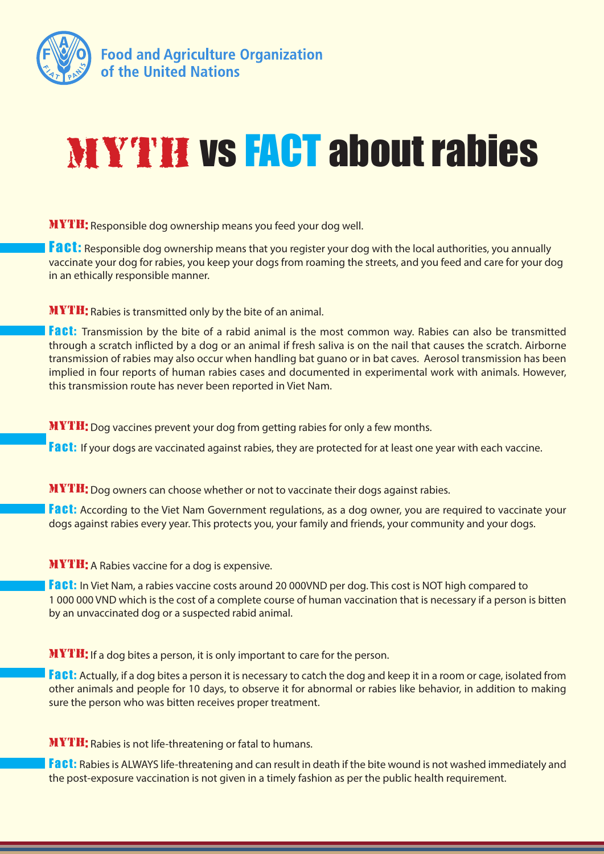

## MYTH vs FACT about rabies

MYTH: Responsible dog ownership means you feed your dog well.

Fact: Responsible dog ownership means that you register your dog with the local authorities, you annually vaccinate your dog for rabies, you keep your dogs from roaming the streets, and you feed and care for your dog in an ethically responsible manner.

MYTH: Rabies is transmitted only by the bite of an animal.

**Fact:** Transmission by the bite of a rabid animal is the most common way. Rabies can also be transmitted through a scratch inflicted by a dog or an animal if fresh saliva is on the nail that causes the scratch. Airborne transmission of rabies may also occur when handling bat guano or in bat caves. Aerosol transmission has been implied in four reports of human rabies cases and documented in experimental work with animals. However, this transmission route has never been reported in Viet Nam.

MYTH: Dog vaccines prevent your dog from getting rabies for only a few months.

Fact: If your dogs are vaccinated against rabies, they are protected for at least one year with each vaccine.

MYTH: Dog owners can choose whether or not to vaccinate their dogs against rabies.

Fact: According to the Viet Nam Government regulations, as a dog owner, you are required to vaccinate your dogs against rabies every year. This protects you, your family and friends, your community and your dogs.

MYTH: A Rabies vaccine for a dog is expensive.

**Fact:** In Viet Nam, a rabies vaccine costs around 20 000VND per dog. This cost is NOT high compared to 1 000 000 VND which is the cost of a complete course of human vaccination that is necessary if a person is bitten by an unvaccinated dog or a suspected rabid animal.

MYTH: If a dog bites a person, it is only important to care for the person.

**Fact:** Actually, if a dog bites a person it is necessary to catch the dog and keep it in a room or cage, isolated from other animals and people for 10 days, to observe it for abnormal or rabies like behavior, in addition to making sure the person who was bitten receives proper treatment.

MYTH: Rabies is not life-threatening or fatal to humans.

Fact: Rabies is ALWAYS life-threatening and can result in death if the bite wound is not washed immediately and the post-exposure vaccination is not given in a timely fashion as per the public health requirement.